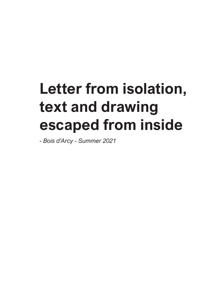# **Letter from isolation, text and drawing escaped from inside**

*- Bois d'Arcy - Summer 2021*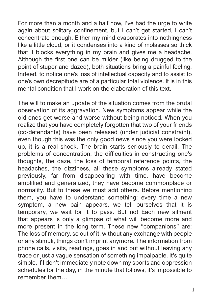For more than a month and a half now, I've had the urge to write again about solitary confinement, but I can't get started, I can't concentrate enough. Either my mind evaporates into nothingness like a little cloud, or it condenses into a kind of molasses so thick that it blocks everything in my brain and gives me a headache. Although the first one can be milder (like being drugged to the point of stupor and dazed), both situations bring a painful feeling. Indeed, to notice one's loss of intellectual capacity and to assist to one's own decrepitude are of a particular total violence. It is in this mental condition that I work on the elaboration of this text.

The will to make an update of the situation comes from the brutal observation of its aggravation. New symptoms appear while the old ones get worse and worse without being noticed. When you realize that you have completely forgotten that two of your friends (co-defendants) have been released (under judicial constraint), even though this was the only good news since you were locked up, it is a real shock. The brain starts seriously to derail. The problems of concentration, the difficulties in constructing one's thoughts, the daze, the loss of temporal reference points, the headaches, the dizziness, all these symptoms already stated previously, far from disappearing with time, have become amplified and generalized, they have become commonplace or normality. But to these we must add others. Before mentioning them, you have to understand something: every time a new symptom, a new pain appears, we tell ourselves that it is temporary, we wait for it to pass. But no! Each new ailment that appears is only a glimpse of what will become more and more present in the long term. These new "companions" are: The loss of memory, so out of it, without any exchange with people or any stimuli, things don't imprint anymore. The information from phone calls, visits, readings, goes in and out without leaving any trace or just a vague sensation of something impalpable. It's quite simple, if I don't immediately note down my sports and oppression schedules for the day, in the minute that follows, it's impossible to remember them…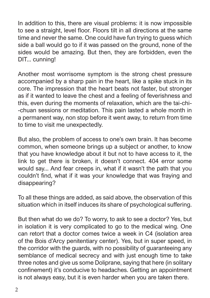In addition to this, there are visual problems: it is now impossible to see a straight, level floor. Floors tilt in all directions at the same time and never the same. One could have fun trying to guess which side a ball would go to if it was passed on the ground, none of the sides would be amazing. But then, they are forbidden, even the DIT... cunning!

Another most worrisome symptom is the strong chest pressure accompanied by a sharp pain in the heart, like a spike stuck in its core. The impression that the heart beats not faster, but stronger as if it wanted to leave the chest and a feeling of feverishness and this, even during the moments of relaxation, which are the tai-chi- -chuan sessions or meditation. This pain lasted a whole month in a permanent way, non stop before it went away, to return from time to time to visit me unexpectedly.

But also, the problem of access to one's own brain. It has become common, when someone brings up a subject or another, to know that you have knowledge about it but not to have access to it, the link to get there is broken, it doesn't connect. 404 error some would say... And fear creeps in, what if it wasn't the path that you couldn't find, what if it was your knowledge that was fraying and disappearing?

To all these things are added, as said above, the observation of this situation which in itself induces its share of psychological suffering.

But then what do we do? To worry, to ask to see a doctor? Yes, but in isolation it is very complicated to go to the medical wing. One can retort that a doctor comes twice a week in C4 (isolation area of the Bois d'Arcy penitentiary center). Yes, but in super speed, in the corridor with the guards, with no possibility of guaranteeing any semblance of medical secrecy and with just enough time to take three notes and give us some Doliprane, saying that here (in solitary confinement) it's conducive to headaches. Getting an appointment is not always easy, but it is even harder when you are taken there.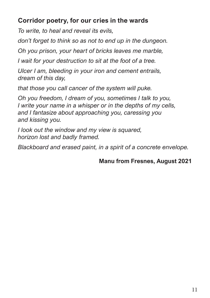## **Corridor poetry, for our cries in the wards**

*To write, to heal and reveal its evils,*

*don't forget to think so as not to end up in the dungeon.*

*Oh you prison, your heart of bricks leaves me marble,*

*I wait for your destruction to sit at the foot of a tree.*

*Ulcer I am, bleeding in your iron and cement entrails, dream of this day,*

*that those you call cancer of the system will puke.*

*Oh you freedom, I dream of you, sometimes I talk to you, I write your name in a whisper or in the depths of my cells, and I fantasize about approaching you, caressing you and kissing you.*

*I look out the window and my view is squared, horizon lost and badly framed.*

*Blackboard and erased paint, in a spirit of a concrete envelope.*

#### **Manu from Fresnes, August 2021**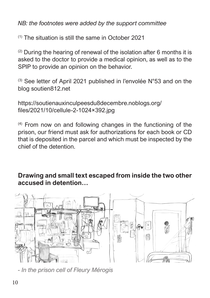*NB: the footnotes were added by the support committee*

 $(1)$  The situation is still the same in October 2021

 $(2)$  During the hearing of renewal of the isolation after 6 months it is asked to the doctor to provide a medical opinion, as well as to the SPIP to provide an opinion on the behavior.

(3) See letter of April 2021 published in l'envolée N°53 and on the blog soutien812.net

https://soutienauxinculpeesdu8decembre.noblogs.org/ files/2021/10/cellule-2-1024×392.jpg

(4) From now on and following changes in the functioning of the prison, our friend must ask for authorizations for each book or CD that is deposited in the parcel and which must be inspected by the chief of the detention.

### **Drawing and small text escaped from inside the two other accused in detention…**



*- In the prison cell of Fleury Mérogis*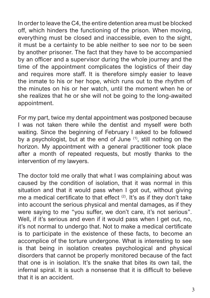In order to leave the C4, the entire detention area must be blocked off, which hinders the functioning of the prison. When moving, everything must be closed and inaccessible, even to the sight, it must be a certainty to be able neither to see nor to be seen by another prisoner. The fact that they have to be accompanied by an officer and a supervisor during the whole journey and the time of the appointment complicates the logistics of their day and requires more staff. It is therefore simply easier to leave the inmate to his or her hope, which runs out to the rhythm of the minutes on his or her watch, until the moment when he or she realizes that he or she will not be going to the long-awaited appointment.

For my part, twice my dental appointment was postponed because I was not taken there while the dentist and myself were both waiting. Since the beginning of February I asked to be followed by a psychologist, but at the end of June  $(1)$ , still nothing on the horizon. My appointment with a general practitioner took place after a month of repeated requests, but mostly thanks to the intervention of my lawyers.

The doctor told me orally that what I was complaining about was caused by the condition of isolation, that it was normal in this situation and that it would pass when I got out, without giving me a medical certificate to that effect  $(2)$ . It's as if they don't take into account the serious physical and mental damages, as if they were saying to me "you suffer, we don't care, it's not serious". Well, if it's serious and even if it would pass when I get out, no, it's not normal to undergo that. Not to make a medical certificate is to participate in the existence of these facts, to become an accomplice of the torture undergone. What is interesting to see is that being in isolation creates psychological and physical disorders that cannot be properly monitored because of the fact that one is in isolation. It's the snake that bites its own tail, the infernal spiral. It is such a nonsense that it is difficult to believe that it is an accident.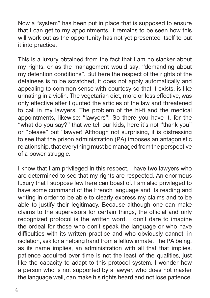Now a "system" has been put in place that is supposed to ensure that I can get to my appointments, it remains to be seen how this will work out as the opportunity has not yet presented itself to put it into practice.

This is a luxury obtained from the fact that I am no slacker about my rights, or as the management would say: "demanding about my detention conditions". But here the respect of the rights of the detainees is to be scratched, it does not apply automatically and appealing to common sense with courtesy so that it exists, is like urinating in a violin. The vegetarian diet, more or less effective, was only effective after I quoted the articles of the law and threatened to call in my lawyers. The problem of the hi-fi and the medical appointments, likewise: "lawyers"! So there you have it, for the "what do you say?" that we tell our kids, here it's not "thank you" or "please" but "lawyer! Although not surprising, it is distressing to see that the prison administration (PA) imposes an antagonistic relationship, that everything must be managed from the perspective of a power struggle.

I know that I am privileged in this respect, I have two lawyers who are determined to see that my rights are respected. An enormous luxury that I suppose few here can boast of. I am also privileged to have some command of the French language and its reading and writing in order to be able to clearly express my claims and to be able to justify their legitimacy. Because although one can make claims to the supervisors for certain things, the official and only recognized protocol is the written word. I don't dare to imagine the ordeal for those who don't speak the language or who have difficulties with its written practice and who obviously cannot, in isolation, ask for a helping hand from a fellow inmate. The PA being, as its name implies, an administration with all that that implies, patience acquired over time is not the least of the qualities, just like the capacity to adapt to this protocol system. I wonder how a person who is not supported by a lawyer, who does not master the language well, can make his rights heard and not lose patience.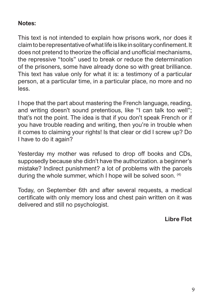#### **Notes:**

This text is not intended to explain how prisons work, nor does it claim to be representative of what life is like in solitary confinement. It does not pretend to theorize the official and unofficial mechanisms, the repressive "tools" used to break or reduce the determination of the prisoners, some have already done so with great brilliance. This text has value only for what it is: a testimony of a particular person, at a particular time, in a particular place, no more and no less.

I hope that the part about mastering the French language, reading, and writing doesn't sound pretentious, like "I can talk too well"; that's not the point. The idea is that if you don't speak French or if you have trouble reading and writing, then you're in trouble when it comes to claiming your rights! Is that clear or did I screw up? Do I have to do it again?

Yesterday my mother was refused to drop off books and CDs, supposedly because she didn't have the authorization. a beginner's mistake? Indirect punishment? a lot of problems with the parcels during the whole summer, which I hope will be solved soon. <sup>(4)</sup>

Today, on September 6th and after several requests, a medical certificate with only memory loss and chest pain written on it was delivered and still no psychologist.

**Libre Flot**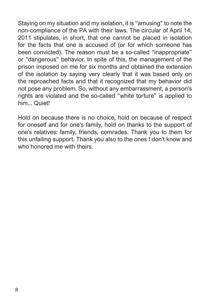Staying on my situation and my isolation, it is "amusing" to note the non-compliance of the PA with their laws. The circular of April 14, 2011 stipulates, in short, that one cannot be placed in isolation for the facts that one is accused of (or for which someone has been convicted). The reason must be a so-called "inappropriate" or "dangerous" behavior. In spite of this, the management of the prison imposed on me for six months and obtained the extension of the isolation by saying very clearly that it was based only on the reproached facts and that it recognized that my behavior did not pose any problem. So, without any embarrassment, a person's rights are violated and the so-called "white torture" is applied to him... Quiet!

Hold on because there is no choice, hold on because of respect for oneself and for one's family, hold on thanks to the support of one's relatives: family, friends, comrades. Thank you to them for this unfailing support. Thank you also to the ones I don't know and who honored me with theirs.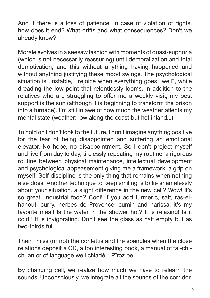And if there is a loss of patience, in case of violation of rights, how does it end? What drifts and what consequences? Don't we already know?

Morale evolves in a seesaw fashion with moments of quasi-euphoria (which is not necessarily reassuring) until demoralization and total demotivation, and this without anything having happened and without anything justifying these mood swings. The psychological situation is unstable, I rejoice when everything goes "well", while dreading the low point that relentlessly looms. In addition to the relatives who are struggling to offer me a weekly visit, my best support is the sun (although it is beginning to transform the prison into a furnace). I'm still in awe of how much the weather affects my mental state (weather: low along the coast but hot inland...)

To hold on I don't look to the future, I don't imagine anything positive for the fear of being disappointed and suffering an emotional elevator. No hope, no disappointment. So I don't project myself and live from day to day, tirelessly repeating my routine. a rigorous routine between physical maintenance, intellectual development and psychological appeasement giving me a framework, a grip on myself. Self-discipline is the only thing that remains when nothing else does. Another technique to keep smiling is to lie shamelessly about your situation. a slight difference in the new cell? Wow! It's so great. Industrial food? Cool! If you add turmeric, salt, ras-elhanout, curry, herbes de Provence, cumin and harissa, it's my favorite meal! Is the water in the shower hot? It is relaxing! Is it cold? It is invigorating. Don't see the glass as half empty but as two-thirds full...

Then I miss (or not) the confettis and the spangles when the close relations deposit a CD, a too interesting book, a manual of tai-chichuan or of language well chiadé... Pîroz be!

By changing cell, we realize how much we have to relearn the sounds. Unconsciously, we integrate all the sounds of the corridor.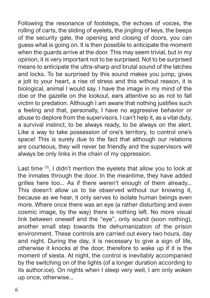Following the resonance of footsteps, the echoes of voices, the rolling of carts, the sliding of eyelets, the jingling of keys, the beeps of the security gate, the opening and closing of doors, you can guess what is going on. It is then possible to anticipate the moment when the guards arrive at the door. This may seem trivial, but in my opinion, it is very important not to be surprised. Not to be surprised means to anticipate the ultra-sharp and brutal sound of the latches and locks. To be surprised by this sound makes you jump, gives a jolt to your heart, a rise of stress and this without reason, it is biological, animal I would say. I have the image in my mind of the doe or the gazelle on the lookout, ears attentive so as not to fall victim to predation. Although I am aware that nothing justifies such a feeling and that, personally, I have no aggressive behavior or abuse to deplore from the supervisors. I can't help it, as a vital duty, a survival instinct, to be always ready, to be always on the alert. Like a way to take possession of one's territory, to control one's space! This is surely due to the fact that although our relations are courteous, they will never be friendly and the supervisors will always be only links in the chain of my oppression.

Last time <sup>(3)</sup>, I didn't mention the eyelets that allow you to look at the inmates through the door. In the meantime, they have added grilles here too... As if there weren't enough of them already... This doesn't allow us to be observed without our knowing it, because as we hear, it only serves to isolate human beings even more. Where once there was an eye (a rather disturbing and even cosmic image, by the way) there is nothing left. No more visual link between oneself and the "eye", only sound (soon nothing), another small step towards the dehumanization of the prison environment. These controls are carried out every two hours, day and night. During the day, it is necessary to give a sign of life, otherwise it knocks at the door, therefore to wake up if it is the moment of siesta. At night, the control is inevitably accompanied by the switching on of the lights (of a longer duration according to its author.ice). On nights when I sleep very well, I am only woken up once, otherwise...